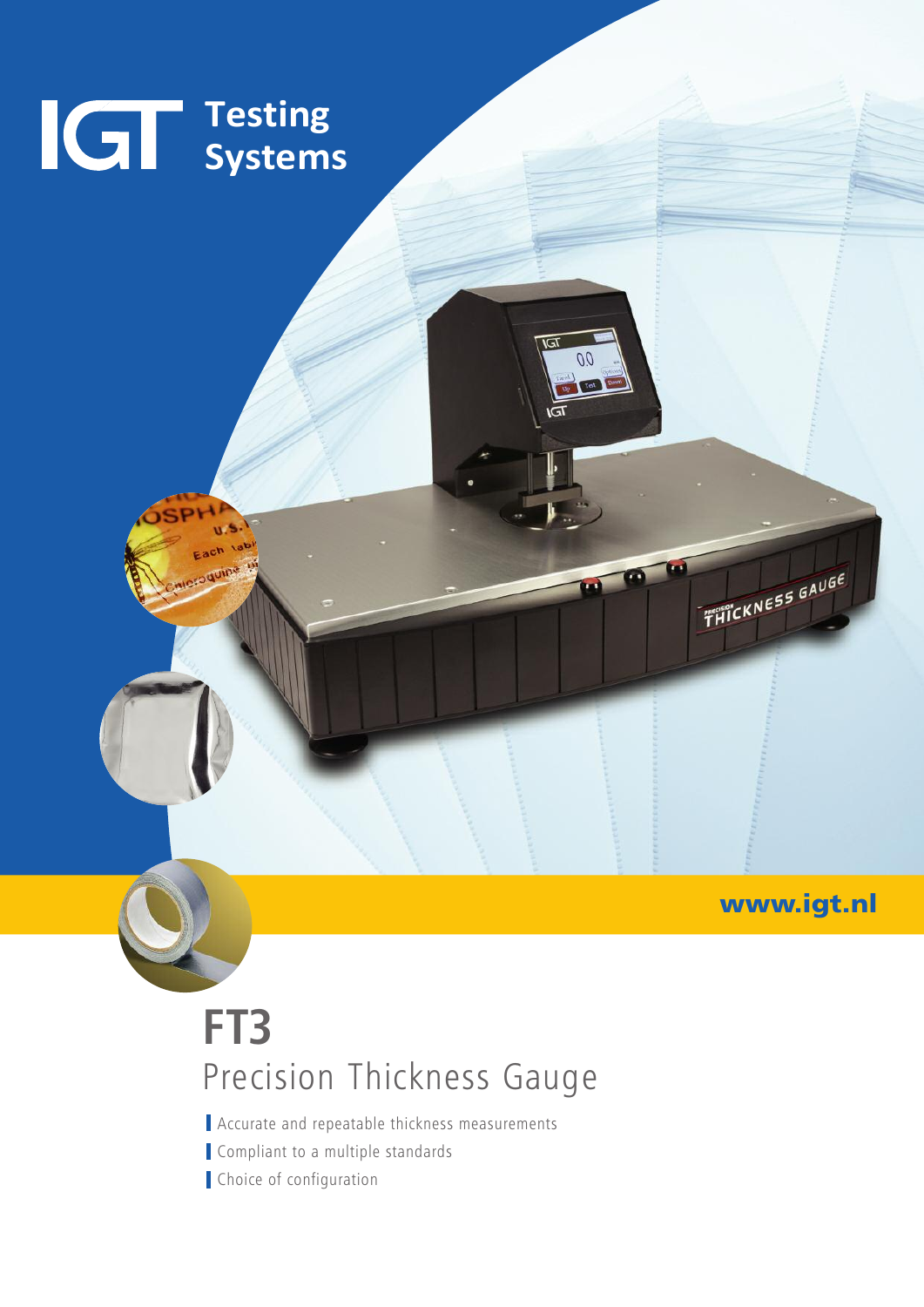

### **www.igt.nl**

## **FT3** Precision Thickness Gauge

Accurate and repeatable thickness measurements Compliant to a multiple standards Choice of configuration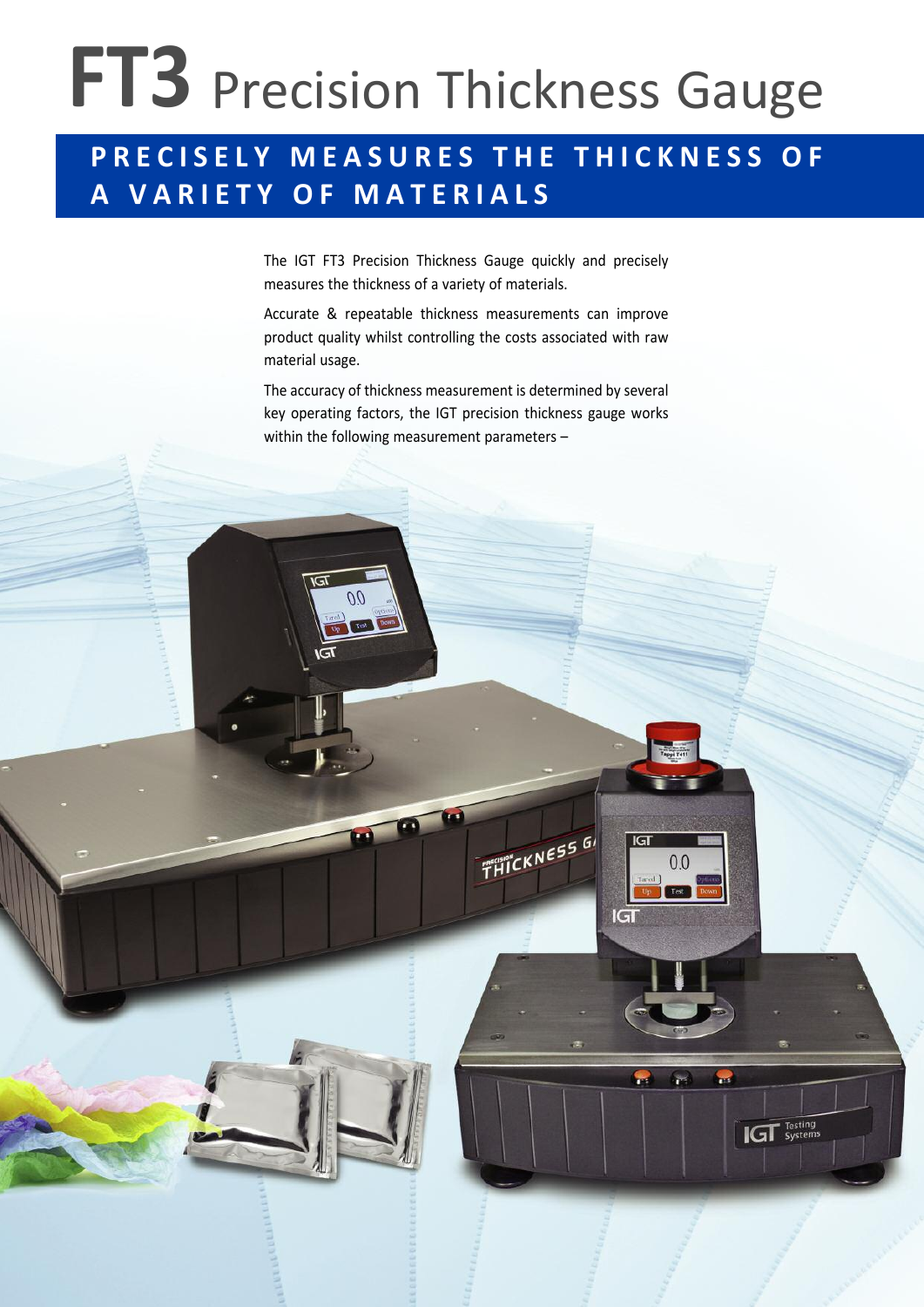# **FT3** Precision Thickness Gauge

### PRECISELY MEASURES THE THICKNESS OF **A V A R I E T Y O F M A T E R I A L S**

The IGT FT3 Precision Thickness Gauge quickly and precisely measures the thickness of a variety of materials.

Accurate & repeatable thickness measurements can improve product quality whilst controlling the costs associated with raw material usage.

The accuracy of thickness measurement is determined by several key operating factors, the IGT precision thickness gauge works within the following measurement parameters –

 $\frac{1}{T} \frac{1}{H} \frac{1}{H} \frac{1}{H} \frac{1}{H} \frac{1}{H} \frac{1}{H} \frac{1}{H} \frac{1}{H} \frac{1}{H} \frac{1}{H} \frac{1}{H} \frac{1}{H} \frac{1}{H} \frac{1}{H} \frac{1}{H} \frac{1}{H} \frac{1}{H} \frac{1}{H} \frac{1}{H} \frac{1}{H} \frac{1}{H} \frac{1}{H} \frac{1}{H} \frac{1}{H} \frac{1}{H} \frac{1}{H} \frac{1}{H} \frac{1}{H} \frac{1}{H} \frac{1}{H} \frac{$ 

 $IGI$ 

 $|G|$ 

 $0<sub>0</sub>$ 

 $\frac{1}{2}$ 

**IGT** Testing

 $0<sub>0</sub>$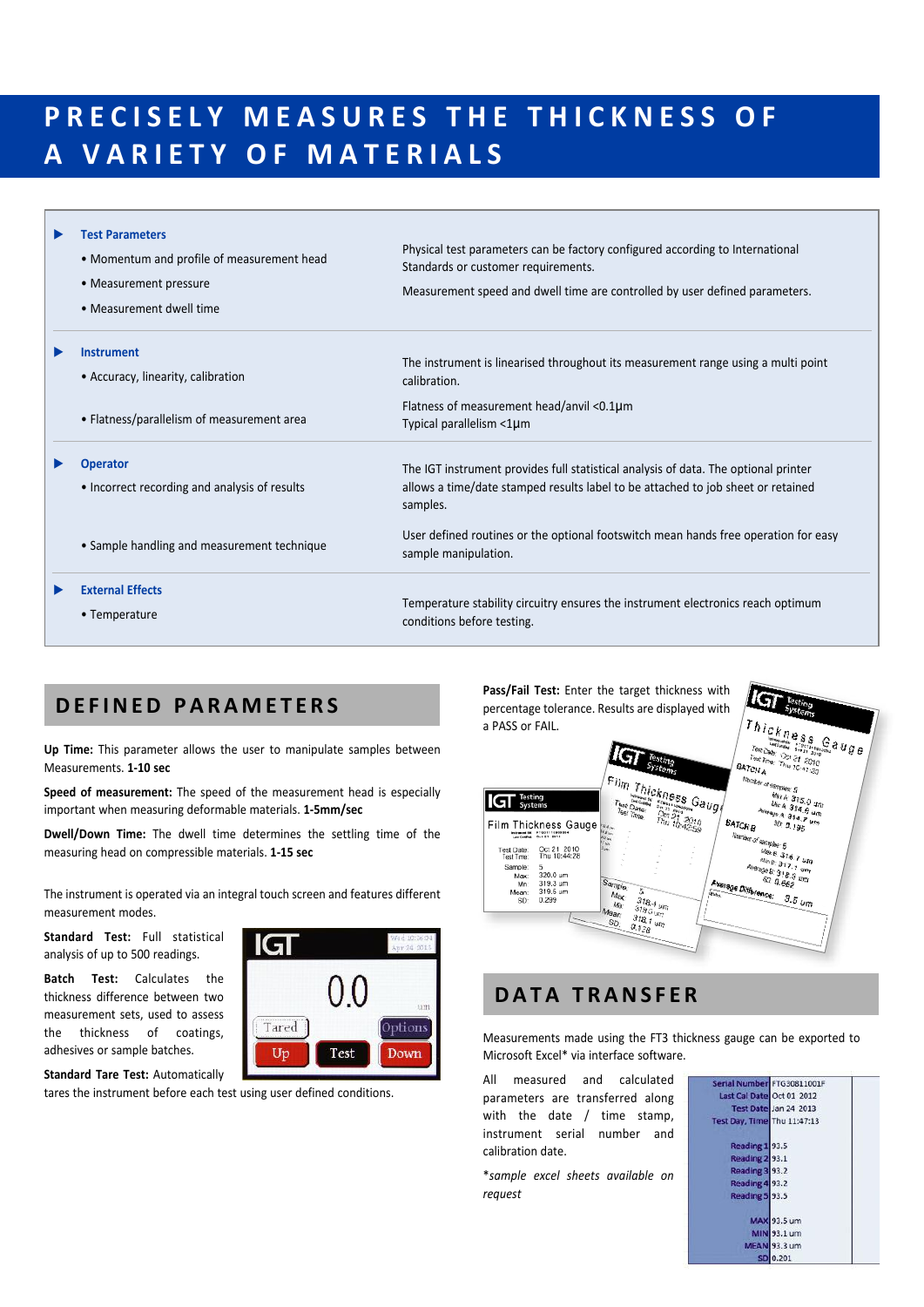### PRECISELY MEASURES THE THICKNESS OF **A V A R I E T Y O F M A T E R I A L S**

| <b>Test Parameters</b><br>• Momentum and profile of measurement head<br>• Measurement pressure<br>• Measurement dwell time | Physical test parameters can be factory configured according to International<br>Standards or customer requirements.<br>Measurement speed and dwell time are controlled by user defined parameters. |
|----------------------------------------------------------------------------------------------------------------------------|-----------------------------------------------------------------------------------------------------------------------------------------------------------------------------------------------------|
| <b>Instrument</b><br>• Accuracy, linearity, calibration                                                                    | The instrument is linearised throughout its measurement range using a multi point<br>calibration.                                                                                                   |
| • Flatness/parallelism of measurement area                                                                                 | Flatness of measurement head/anvil < $0.1 \mu m$<br>Typical parallelism <1µm                                                                                                                        |
| <b>Operator</b><br>• Incorrect recording and analysis of results                                                           | The IGT instrument provides full statistical analysis of data. The optional printer<br>allows a time/date stamped results label to be attached to job sheet or retained<br>samples.                 |
| • Sample handling and measurement technique                                                                                | User defined routines or the optional footswitch mean hands free operation for easy<br>sample manipulation.                                                                                         |
| <b>External Effects</b><br>• Temperature                                                                                   | Temperature stability circuitry ensures the instrument electronics reach optimum<br>conditions before testing.                                                                                      |

#### **DE F INED P A R A M E T E R S**

**Up Time:** This parameter allows the user to manipulate samples between Measurements. **1-10 sec**

**Speed of measurement:** The speed of the measurement head is especially important when measuring deformable materials. **1-5mm/sec**

**Dwell/Down Time:** The dwell time determines the settling time of the measuring head on compressible materials. **1-15 sec**

The instrument is operated via an integral touch screen and features different measurement modes.

**Standard Test:** Full statistical analysis of up to 500 readings.

**Batch Test:** Calculates the thickness difference between two measurement sets, used to assess the thickness of coatings, adhesives or sample batches.



**Standard Tare Test:** Automatically

tares the instrument before each test using user defined conditions.

**Pass/Fail Test:** Enter the target thickness with percentage tolerance. Results are displayed with a PASS or FAIL.



#### **DA T A T R ANS F E R**

Measurements made using the FT3 thickness gauge can be exported to Microsoft Excel\* via interface software.

All measured and calculated parameters are transferred along with the date / time stamp, instrument serial number and calibration date.

\**sample excel sheets available on request*

| Serial Number FTG30811001F  |                       |  |
|-----------------------------|-----------------------|--|
| Last Cal Date Oct 01 2012   |                       |  |
|                             | Test Date Jan 24 2013 |  |
| Test Day, Time Thu 11:47:13 |                       |  |
| Reading 193.5               |                       |  |
| Reading 2 93.1              |                       |  |
| Reading 3 93.2              |                       |  |
| Reading 4 93.2              |                       |  |
| Reading 5 93.5              |                       |  |
|                             | <b>MAX 93.5 um</b>    |  |
|                             | MIN 93.1 um           |  |
|                             | <b>MEAN 93.3 um</b>   |  |
|                             | SD 0.201              |  |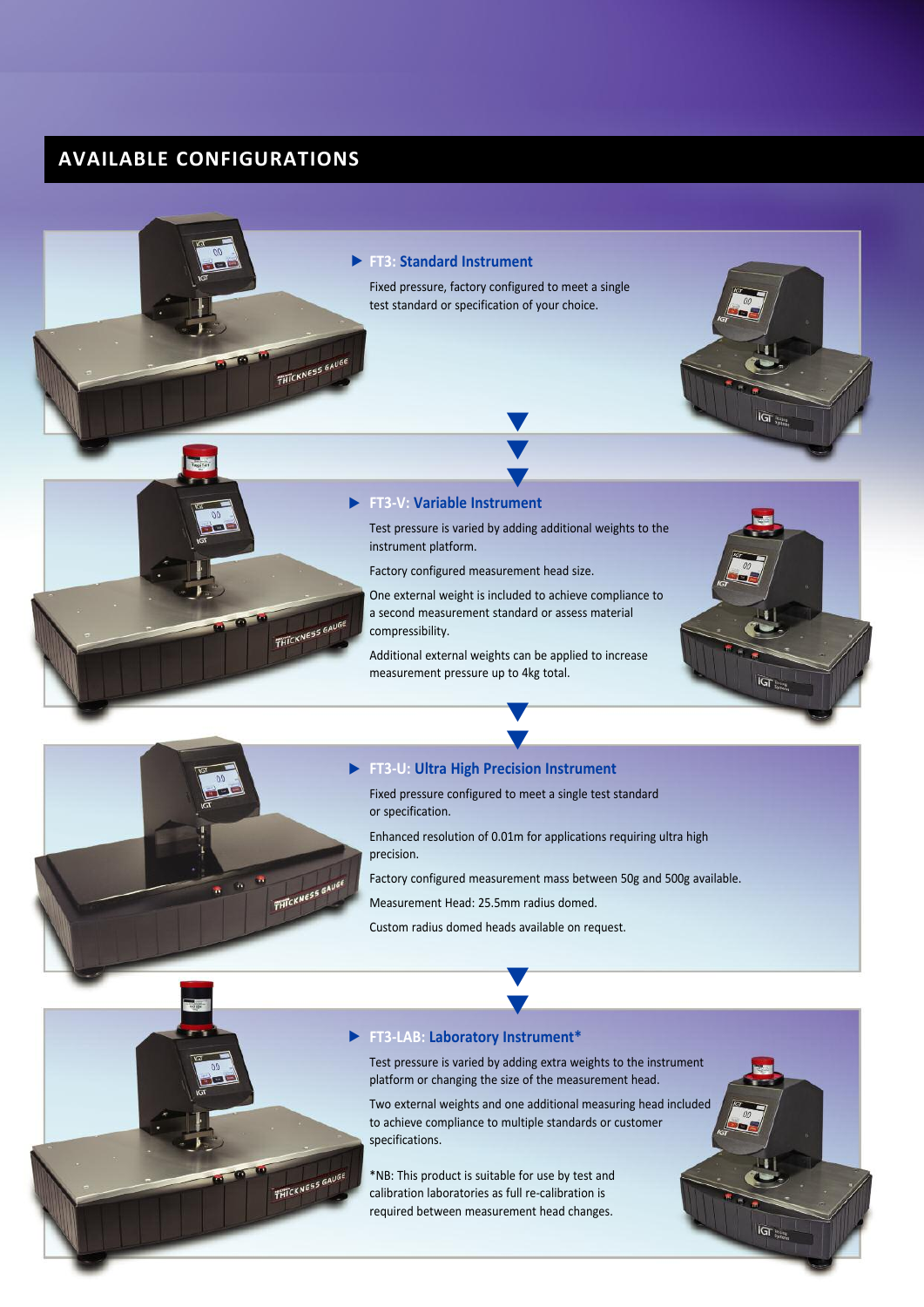#### **AVAILABLE CONFIGURATIONS**

#### **FT3: Standard Instrument** u Fixed pressure, factory configured to meet a single test standard or specification of your choice. **THICKNESS GAUGE**  $\widetilde{\text{IGT}}_{ijmn}$ V  $\blacktriangledown$ **v FT3-V: Variable Instrument** u Test pressure is varied by adding additional weights to the instrument platform. Factory configured measurement head size. One external weight is included to achieve compliance to a second measurement standard or assess material THICKNESS GAUGE compressibility. Additional external weights can be applied to increase measurement pressure up to 4kg total.  $\overline{\text{IGT}}$ u



#### **FT3-U: Ultra High Precision Instrument** u

Fixed pressure configured to meet a single test standard or specification.

V

Enhanced resolution of 0.01m for applications requiring ultra high precision.

Factory configured measurement mass between 50g and 500g available.

Measurement Head: 25.5mm radius domed.

Custom radius domed heads available on request.

v V



#### **FT3-LAB: Laboratory Instrument\*** u

Test pressure is varied by adding extra weights to the instrument platform or changing the size of the measurement head.

Two external weights and one additional measuring head included to achieve compliance to multiple standards or customer specifications.

 $\overline{\text{IGT}}_{\text{max}}$ 

\*NB: This product is suitable for use by test and calibration laboratories as full re-calibration is required between measurement head changes.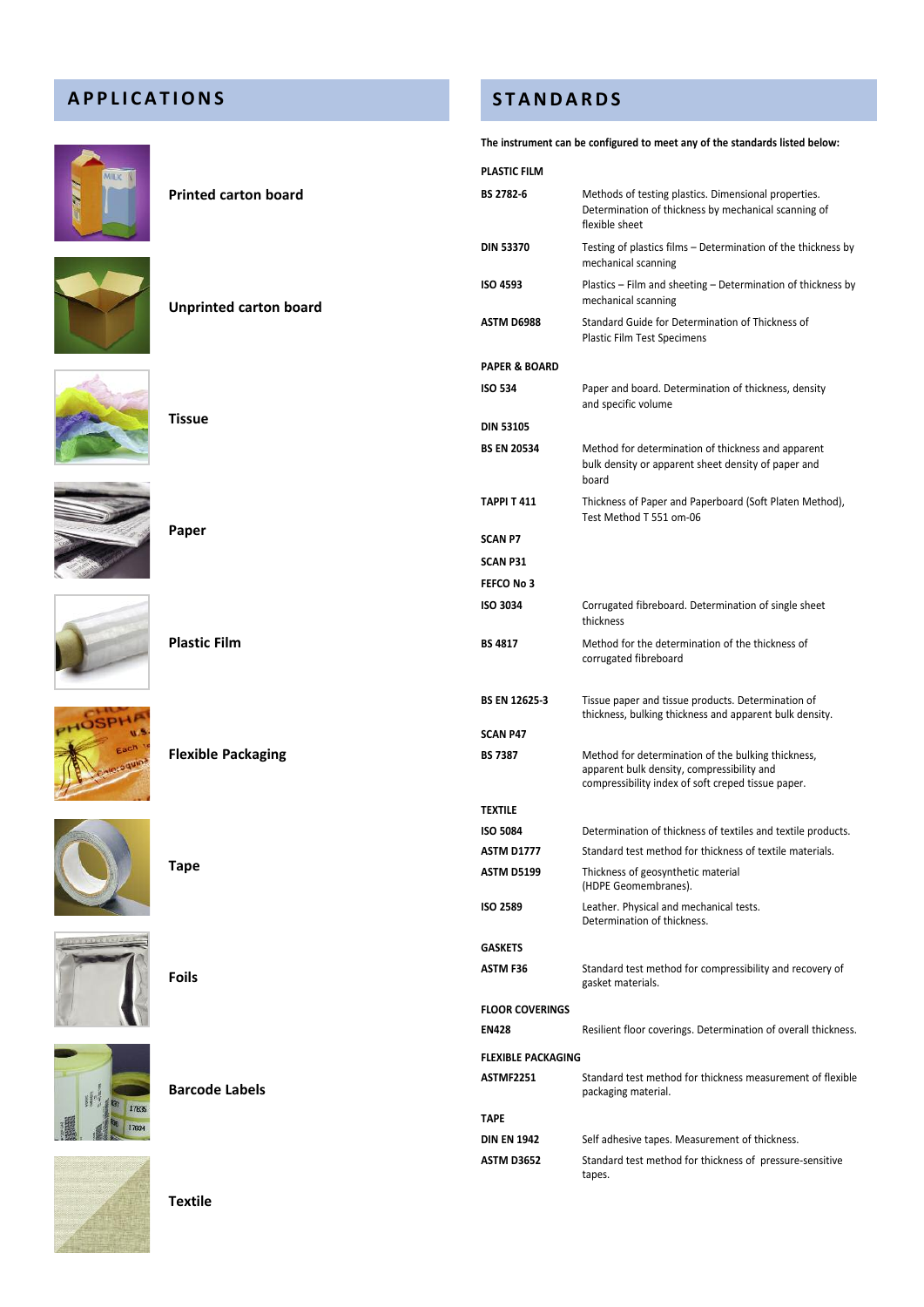#### **A P P L I C A T IONS**



| The instrument can be configured to meet any of the standards listed below: |                                                                                                                                             |                                                                                                                                                        |  |  |
|-----------------------------------------------------------------------------|---------------------------------------------------------------------------------------------------------------------------------------------|--------------------------------------------------------------------------------------------------------------------------------------------------------|--|--|
|                                                                             | <b>PLASTIC FILM</b>                                                                                                                         |                                                                                                                                                        |  |  |
| <b>Printed carton board</b>                                                 | BS 2782-6<br>Methods of testing plastics. Dimensional properties.<br>Determination of thickness by mechanical scanning of<br>flexible sheet |                                                                                                                                                        |  |  |
|                                                                             | <b>DIN 53370</b>                                                                                                                            | Testing of plastics films – Determination of the thickness by<br>mechanical scanning                                                                   |  |  |
| <b>Unprinted carton board</b>                                               | <b>ISO 4593</b>                                                                                                                             | Plastics – Film and sheeting – Determination of thickness by<br>mechanical scanning                                                                    |  |  |
|                                                                             | ASTM D6988                                                                                                                                  | Standard Guide for Determination of Thickness of<br>Plastic Film Test Specimens                                                                        |  |  |
|                                                                             | <b>PAPER &amp; BOARD</b>                                                                                                                    |                                                                                                                                                        |  |  |
|                                                                             | <b>ISO 534</b>                                                                                                                              | Paper and board. Determination of thickness, density<br>and specific volume                                                                            |  |  |
| <b>Tissue</b>                                                               | <b>DIN 53105</b>                                                                                                                            |                                                                                                                                                        |  |  |
|                                                                             | <b>BS EN 20534</b>                                                                                                                          | Method for determination of thickness and apparent<br>bulk density or apparent sheet density of paper and<br>board                                     |  |  |
|                                                                             | <b>TAPPI T 411</b>                                                                                                                          | Thickness of Paper and Paperboard (Soft Platen Method),<br>Test Method T 551 om-06                                                                     |  |  |
| Paper                                                                       | <b>SCAN P7</b>                                                                                                                              |                                                                                                                                                        |  |  |
|                                                                             | <b>SCAN P31</b>                                                                                                                             |                                                                                                                                                        |  |  |
|                                                                             | FEFCO No 3                                                                                                                                  |                                                                                                                                                        |  |  |
|                                                                             | <b>ISO 3034</b>                                                                                                                             | Corrugated fibreboard. Determination of single sheet<br>thickness                                                                                      |  |  |
| <b>Plastic Film</b>                                                         | <b>BS 4817</b>                                                                                                                              | Method for the determination of the thickness of<br>corrugated fibreboard                                                                              |  |  |
|                                                                             | <b>BS EN 12625-3</b>                                                                                                                        | Tissue paper and tissue products. Determination of<br>thickness, bulking thickness and apparent bulk density.                                          |  |  |
|                                                                             | <b>SCAN P47</b>                                                                                                                             |                                                                                                                                                        |  |  |
| <b>Flexible Packaging</b>                                                   | <b>BS 7387</b>                                                                                                                              | Method for determination of the bulking thickness,<br>apparent bulk density, compressibility and<br>compressibility index of soft creped tissue paper. |  |  |
|                                                                             | <b>TEXTILE</b>                                                                                                                              |                                                                                                                                                        |  |  |
|                                                                             | <b>ISO 5084</b>                                                                                                                             | Determination of thickness of textiles and textile products.                                                                                           |  |  |
|                                                                             | <b>ASTM D1777</b>                                                                                                                           | Standard test method for thickness of textile materials.                                                                                               |  |  |
| <b>Tape</b>                                                                 | <b>ASTM D5199</b>                                                                                                                           | Thickness of geosynthetic material<br>(HDPE Geomembranes).                                                                                             |  |  |
|                                                                             | <b>ISO 2589</b>                                                                                                                             | Leather. Physical and mechanical tests.<br>Determination of thickness.                                                                                 |  |  |
|                                                                             | <b>GASKETS</b>                                                                                                                              |                                                                                                                                                        |  |  |
| <b>Foils</b>                                                                | <b>ASTM F36</b>                                                                                                                             | Standard test method for compressibility and recovery of<br>gasket materials.                                                                          |  |  |
|                                                                             | <b>FLOOR COVERINGS</b>                                                                                                                      |                                                                                                                                                        |  |  |
|                                                                             | <b>EN428</b>                                                                                                                                | Resilient floor coverings. Determination of overall thickness.                                                                                         |  |  |
|                                                                             | <b>FLEXIBLE PACKAGING</b>                                                                                                                   |                                                                                                                                                        |  |  |
| <b>Barcode Labels</b>                                                       | <b>ASTMF2251</b>                                                                                                                            | Standard test method for thickness measurement of flexible<br>packaging material.                                                                      |  |  |
|                                                                             | <b>TAPE</b>                                                                                                                                 |                                                                                                                                                        |  |  |
|                                                                             | <b>DIN EN 1942</b>                                                                                                                          | Self adhesive tapes. Measurement of thickness.                                                                                                         |  |  |
|                                                                             | <b>ASTM D3652</b>                                                                                                                           | Standard test method for thickness of pressure-sensitive<br>tapes.                                                                                     |  |  |

**S T ANDA RDS**





**Paper**



**Plastic Film**









| <b>Textile</b> |
|----------------|